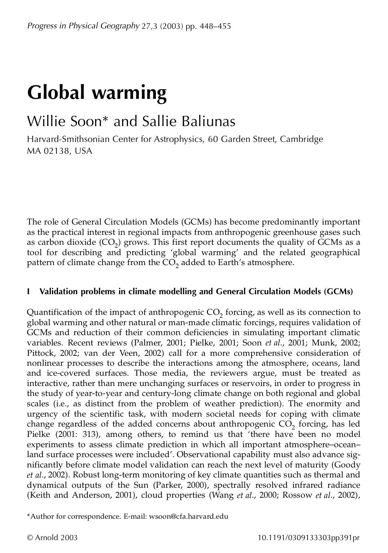# **Global warming**

# Willie Soon\* and Sallie Baliunas

Harvard-Smithsonian Center for Astrophysics, 60 Garden Street, Cambridge MA 02138, USA

The role of General Circulation Models (GCMs) has become predominantly important as the practical interest in regional impacts from anthropogenic greenhouse gases such as carbon dioxide (CO<sub>2</sub>) grows. This first report documents the quality of GCMs as a tool for describing and predicting 'global warming' and the related geographical pattern of climate change from the CO<sub>2</sub> added to Earth's atmosphere.

## **I Validation problems in climate modelling and General Circulation Models (GCMs)**

Quantification of the impact of anthropogenic  $CO_2$  forcing, as well as its connection to global warming and other natural or man-made climatic forcings, requires validation of GCMs and reduction of their common deficiencies in simulating important climatic variables. Recent reviews (Palmer, 2001; Pielke, 2001; Soon *et al*., 2001; Munk, 2002; Pittock, 2002; van der Veen, 2002) call for a more comprehensive consideration of nonlinear processes to describe the interactions among the atmosphere, oceans, land and ice-covered surfaces. Those media, the reviewers argue, must be treated as interactive, rather than mere unchanging surfaces or reservoirs, in order to progress in the study of year-to-year and century-long climate change on both regional and global scales (i.e., as distinct from the problem of weather prediction). The enormity and urgency of the scientific task, with modern societal needs for coping with climate change regardless of the added concerns about anthropogenic  $CO_2$  forcing, has led Pielke (2001: 313), among others, to remind us that 'there have been no model experiments to assess climate prediction in which all important atmosphere–ocean– land surface processes were included'. Observational capability must also advance significantly before climate model validation can reach the next level of maturity (Goody *et al*., 2002). Robust long-term monitoring of key climate quantities such as thermal and dynamical outputs of the Sun (Parker, 2000), spectrally resolved infrared radiance (Keith and Anderson, 2001), cloud properties (Wang *et al*., 2000; Rossow *et al*., 2002),

\*Author for correspondence. E-mail: wsoon@cfa.harvard.edu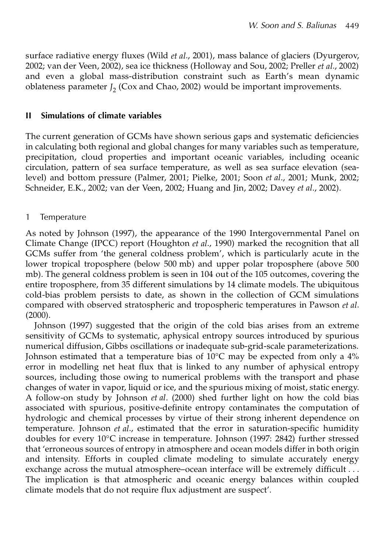surface radiative energy fluxes (Wild *et al*., 2001), mass balance of glaciers (Dyurgerov, 2002; van der Veen, 2002), sea ice thickness (Holloway and Sou, 2002; Preller *et al*., 2002) and even a global mass-distribution constraint such as Earth's mean dynamic oblateness parameter  $J_2$  (Cox and Chao, 2002) would be important improvements.

#### **II Simulations of climate variables**

The current generation of GCMs have shown serious gaps and systematic deficiencies in calculating both regional and global changes for many variables such as temperature, precipitation, cloud properties and important oceanic variables, including oceanic circulation, pattern of sea surface temperature, as well as sea surface elevation (sealevel) and bottom pressure (Palmer, 2001; Pielke, 2001; Soon *et al*., 2001; Munk, 2002; Schneider, E.K., 2002; van der Veen, 2002; Huang and Jin, 2002; Davey *et al*., 2002).

#### 1 Temperature

As noted by Johnson (1997), the appearance of the 1990 Intergovernmental Panel on Climate Change (IPCC) report (Houghton *et al*., 1990) marked the recognition that all GCMs suffer from 'the general coldness problem', which is particularly acute in the lower tropical troposphere (below 500 mb) and upper polar troposphere (above 500 mb). The general coldness problem is seen in 104 out of the 105 outcomes, covering the entire troposphere, from 35 different simulations by 14 climate models. The ubiquitous cold-bias problem persists to date, as shown in the collection of GCM simulations compared with observed stratospheric and tropospheric temperatures in Pawson *et al*.  $(2000).$ 

Johnson (1997) suggested that the origin of the cold bias arises from an extreme sensitivity of GCMs to systematic, aphysical entropy sources introduced by spurious numerical diffusion, Gibbs oscillations or inadequate sub-grid-scale parameterizations. Johnson estimated that a temperature bias of  $10^{\circ}$ C may be expected from only a  $4\%$ error in modelling net heat flux that is linked to any number of aphysical entropy sources, including those owing to numerical problems with the transport and phase changes of water in vapor, liquid or ice, and the spurious mixing of moist, static energy. A follow-on study by Johnson *et al*. (2000) shed further light on how the cold bias associated with spurious, positive-definite entropy contaminates the computation of hydrologic and chemical processes by virtue of their strong inherent dependence on temperature. Johnson *et al*., estimated that the error in saturation-specific humidity doubles for every 10°C increase in temperature. Johnson (1997: 2842) further stressed that 'erroneous sources of entropy in atmosphere and ocean models differ in both origin and intensity. Efforts in coupled climate modeling to simulate accurately energy exchange across the mutual atmosphere–ocean interface will be extremely difficult . . . The implication is that atmospheric and oceanic energy balances within coupled climate models that do not require flux adjustment are suspect'.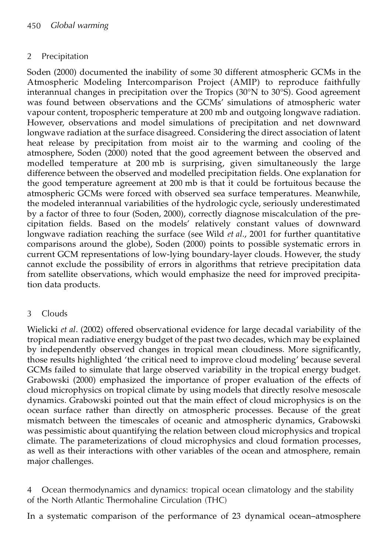# 2 Precipitation

Soden (2000) documented the inability of some 30 different atmospheric GCMs in the Atmospheric Modeling Intercomparison Project (AMIP) to reproduce faithfully interannual changes in precipitation over the Tropics (30°N to 30°S). Good agreement was found between observations and the GCMs' simulations of atmospheric water vapour content, tropospheric temperature at 200 mb and outgoing longwave radiation. However, observations and model simulations of precipitation and net downward longwave radiation at the surface disagreed. Considering the direct association of latent heat release by precipitation from moist air to the warming and cooling of the atmosphere, Soden (2000) noted that the good agreement between the observed and modelled temperature at 200 mb is surprising, given simultaneously the large difference between the observed and modelled precipitation fields. One explanation for the good temperature agreement at 200 mb is that it could be fortuitous because the atmospheric GCMs were forced with observed sea surface temperatures. Meanwhile, the modeled interannual variabilities of the hydrologic cycle, seriously underestimated by a factor of three to four (Soden, 2000), correctly diagnose miscalculation of the precipitation fields. Based on the models' relatively constant values of downward longwave radiation reaching the surface (see Wild *et al*., 2001 for further quantitative comparisons around the globe), Soden (2000) points to possible systematic errors in current GCM representations of low-lying boundary-layer clouds. However, the study cannot exclude the possibility of errors in algorithms that retrieve precipitation data from satellite observations, which would emphasize the need for improved precipitation data products.

## 3 Clouds

Wielicki *et al*. (2002) offered observational evidence for large decadal variability of the tropical mean radiative energy budget of the past two decades, which may be explained by independently observed changes in tropical mean cloudiness. More significantly, those results highlighted 'the critical need to improve cloud modeling' because several GCMs failed to simulate that large observed variability in the tropical energy budget. Grabowski (2000) emphasized the importance of proper evaluation of the effects of cloud microphysics on tropical climate by using models that directly resolve mesoscale dynamics. Grabowski pointed out that the main effect of cloud microphysics is on the ocean surface rather than directly on atmospheric processes. Because of the great mismatch between the timescales of oceanic and atmospheric dynamics, Grabowski was pessimistic about quantifying the relation between cloud microphysics and tropical climate. The parameterizations of cloud microphysics and cloud formation processes, as well as their interactions with other variables of the ocean and atmosphere, remain major challenges.

4 Ocean thermodynamics and dynamics: tropical ocean climatology and the stability of the North Atlantic Thermohaline Circulation (THC)

In a systematic comparison of the performance of 23 dynamical ocean–atmosphere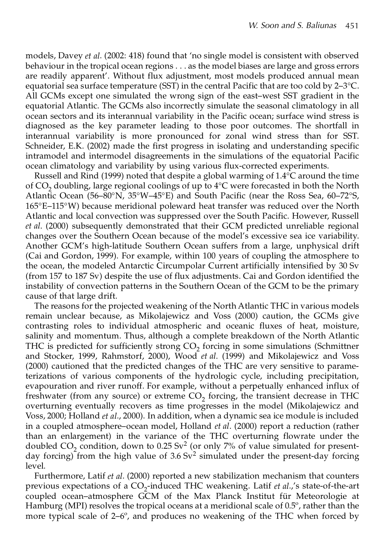models, Davey *et al*. (2002: 418) found that 'no single model is consistent with observed behaviour in the tropical ocean regions . . . as the model biases are large and gross errors are readily apparent'. Without flux adjustment, most models produced annual mean equatorial sea surface temperature (SST) in the central Pacific that are too cold by 2–3°C. All GCMs except one simulated the wrong sign of the east–west SST gradient in the equatorial Atlantic. The GCMs also incorrectly simulate the seasonal climatology in all ocean sectors and its interannual variability in the Pacific ocean; surface wind stress is diagnosed as the key parameter leading to those poor outcomes. The shortfall in interannual variability is more pronounced for zonal wind stress than for SST. Schneider, E.K. (2002) made the first progress in isolating and understanding specific intramodel and intermodel disagreements in the simulations of the equatorial Pacific ocean climatology and variability by using various flux-corrected experiments.

Russell and Rind (1999) noted that despite a global warming of 1.4°C around the time of  $CO<sub>2</sub>$  doubling, large regional coolings of up to  $4^{\circ}C$  were forecasted in both the North Atlantic Ocean (56–80°N, 35°W–45°E) and South Pacific (near the Ross Sea, 60–72°S, 165°E–115°W) because meridional poleward heat transfer was reduced over the North Atlantic and local convection was suppressed over the South Pacific. However, Russell *et al*. (2000) subsequently demonstrated that their GCM predicted unreliable regional changes over the Southern Ocean because of the model's excessive sea ice variability. Another GCM's high-latitude Southern Ocean suffers from a large, unphysical drift (Cai and Gordon, 1999). For example, within 100 years of coupling the atmosphere to the ocean, the modeled Antarctic Circumpolar Current artificially intensified by 30 Sv (from 157 to 187 Sv) despite the use of flux adjustments. Cai and Gordon identified the instability of convection patterns in the Southern Ocean of the GCM to be the primary cause of that large drift.

The reasons for the projected weakening of the North Atlantic THC in various models remain unclear because, as Mikolajewicz and Voss (2000) caution, the GCMs give contrasting roles to individual atmospheric and oceanic fluxes of heat, moisture, salinity and momentum. Thus, although a complete breakdown of the North Atlantic THC is predicted for sufficiently strong  $CO_2$  forcing in some simulations (Schmittner and Stocker, 1999, Rahmstorf, 2000), Wood *et al*. (1999) and Mikolajewicz and Voss (2000) cautioned that the predicted changes of the THC are very sensitive to parameterizations of various components of the hydrologic cycle, including precipitation, evapouration and river runoff. For example, without a perpetually enhanced influx of freshwater (from any source) or extreme  $CO_2$  forcing, the transient decrease in THC overturning eventually recovers as time progresses in the model (Mikolajewicz and Voss, 2000; Holland *et al*., 2000). In addition, when a dynamic sea ice module is included in a coupled atmosphere–ocean model, Holland *et al*. (2000) report a reduction (rather than an enlargement) in the variance of the THC overturning flowrate under the doubled  $CO_2$  condition, down to 0.25 Sv<sup>2</sup> (or only 7% of value simulated for presentday forcing) from the high value of  $3.6 \text{ Sv}^2$  simulated under the present-day forcing level.

Furthermore, Latif *et al*. (2000) reported a new stabilization mechanism that counters previous expectations of a CO<sub>2</sub>-induced THC weakening. Latif *et al.*,'s state-of-the-art coupled ocean–atmosphere GCM of the Max Planck Institut für Meteorologie at Hamburg (MPI) resolves the tropical oceans at a meridional scale of  $0.5^\circ$ , rather than the more typical scale of 2–6º, and produces no weakening of the THC when forced by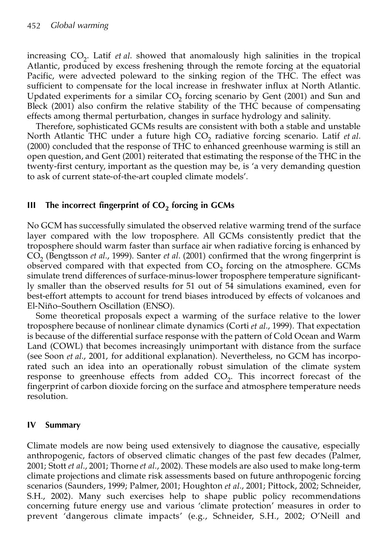increasing CO<sub>2</sub>. Latif *et al*. showed that anomalously high salinities in the tropical Atlantic, produced by excess freshening through the remote forcing at the equatorial Pacific, were advected poleward to the sinking region of the THC. The effect was sufficient to compensate for the local increase in freshwater influx at North Atlantic. Updated experiments for a similar  $CO_2$  forcing scenario by Gent (2001) and Sun and Bleck (2001) also confirm the relative stability of the THC because of compensating effects among thermal perturbation, changes in surface hydrology and salinity.

Therefore, sophisticated GCMs results are consistent with both a stable and unstable North Atlantic THC under a future high CO<sub>2</sub> radiative forcing scenario. Latif et al. (2000) concluded that the response of THC to enhanced greenhouse warming is still an open question, and Gent (2001) reiterated that estimating the response of the THC in the twenty-first century, important as the question may be, is 'a very demanding question to ask of current state-of-the-art coupled climate models'.

# **III The incorrect fingerprint of CO<sup>2</sup> forcing in GCMs**

No GCM has successfully simulated the observed relative warming trend of the surface layer compared with the low troposphere. All GCMs consistently predict that the troposphere should warm faster than surface air when radiative forcing is enhanced by CO<sup>2</sup> (Bengtsson *et al*., 1999). Santer *et al*. (2001) confirmed that the wrong fingerprint is observed compared with that expected from  $CO_2$  forcing on the atmosphere. GCMs simulate trend differences of surface-minus-lower troposphere temperature significantly smaller than the observed results for 51 out of 54 simulations examined, even for best-effort attempts to account for trend biases introduced by effects of volcanoes and El-Niño–Southern Oscillation (ENSO).

Some theoretical proposals expect a warming of the surface relative to the lower troposphere because of nonlinear climate dynamics (Corti *et al*., 1999). That expectation is because of the differential surface response with the pattern of Cold Ocean and Warm Land (COWL) that becomes increasingly unimportant with distance from the surface (see Soon *et al*., 2001, for additional explanation). Nevertheless, no GCM has incorporated such an idea into an operationally robust simulation of the climate system response to greenhouse effects from added  $CO<sub>2</sub>$ . This incorrect forecast of the fingerprint of carbon dioxide forcing on the surface and atmosphere temperature needs resolution.

#### **IV Summary**

Climate models are now being used extensively to diagnose the causative, especially anthropogenic, factors of observed climatic changes of the past few decades (Palmer, 2001; Stott *et al*., 2001; Thorne *et al*., 2002). These models are also used to make long-term climate projections and climate risk assessments based on future anthropogenic forcing scenarios (Saunders, 1999; Palmer, 2001; Houghton *et al*., 2001; Pittock, 2002; Schneider, S.H., 2002). Many such exercises help to shape public policy recommendations concerning future energy use and various 'climate protection' measures in order to prevent 'dangerous climate impacts' (e.g., Schneider, S.H., 2002; O'Neill and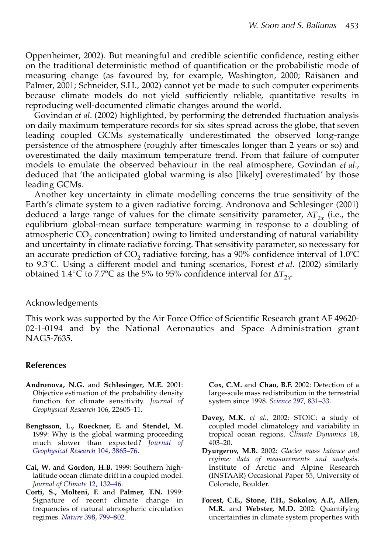Oppenheimer, 2002). But meaningful and credible scientific confidence, resting either on the traditional deterministic method of quantification or the probabilistic mode of measuring change (as favoured by, for example, Washington, 2000; Räisänen and Palmer, 2001; Schneider, S.H., 2002) cannot yet be made to such computer experiments because climate models do not yield sufficiently reliable, quantitative results in reproducing well-documented climatic changes around the world.

Govindan *et al*. (2002) highlighted, by performing the detrended fluctuation analysis on daily maximum temperature records for six sites spread across the globe, that seven leading coupled GCMs systematically underestimated the observed long-range persistence of the atmosphere (roughly after timescales longer than 2 years or so) and overestimated the daily maximum temperature trend. From that failure of computer models to emulate the observed behaviour in the real atmosphere, Govindan *et al*., deduced that 'the anticipated global warming is also [likely] overestimated' by those leading GCMs.

Another key uncertainty in climate modelling concerns the true sensitivity of the Earth's climate system to a given radiative forcing. Andronova and Schlesinger (2001) deduced a large range of values for the climate sensitivity parameter,  $\Delta T_{2x}$  (i.e., the equlibrium global-mean surface temperature warming in response to a doubling of atmospheric  $CO<sub>2</sub>$  concentration) owing to limited understanding of natural variability and uncertainty in climate radiative forcing. That sensitivity parameter, so necessary for an accurate prediction of  $CO<sub>2</sub>$  radiative forcing, has a 90% confidence interval of 1.0°C to 9.3ºC. Using a different model and tuning scenarios, Forest *et al*. (2002) similarly obtained 1.4°C to 7.7°C as the 5% to 95% confidence interval for  $\Delta T_{2x}$ .

#### Acknowledgements

This work was supported by the Air Force Office of Scientific Research grant AF 49620- 02-1-0194 and by the National Aeronautics and Space Administration grant NAG5-7635.

#### **References**

- **Andronova, N.G.** and **Schlesinger, M.E.** 2001: Objective estimation of the probability density function for climate sensitivity. *Journal of Geophysical Research* 106, 22605–11.
- **Bengtsson, L., Roeckner, E.** and **Stendel, M.** 1999: Why is the global warming proceeding much slower than expected? *[Journal of](http://ninetta.ingentaselect.com/nw=1/rpsv/cgi-bin/linker?ext=a&reqidx=/0148-0227^28^29104L.3865[aid=232100]) [Geophysical Research](http://ninetta.ingentaselect.com/nw=1/rpsv/cgi-bin/linker?ext=a&reqidx=/0148-0227^28^29104L.3865[aid=232100])* 104, 3865–76.
- **Cai, W.** and **Gordon, H.B.** 1999: Southern highlatitude ocean climate drift in a coupled model. *[Journal of Climate](http://ninetta.ingentaselect.com/nw=1/rpsv/cgi-bin/linker?ext=a&reqidx=/0894-8755^28^2912L.132[aid=5150832])* 12, 132–46.
- **Corti, S., Molteni, F.** and **Palmer, T.N.** 1999: Signature of recent climate change in frequencies of natural atmospheric circulation regimes. *Nature* [398, 799–802.](http://ninetta.ingentaselect.com/nw=1/rpsv/cgi-bin/linker?ext=a&reqidx=/0028-0836^28^29398L.799[aid=232114])

**Cox, C.M.** and **Chao, B.F.** 2002: Detection of a large-scale mass redistribution in the terrestrial system since 1998. *Science* [297, 831–33.](http://ninetta.ingentaselect.com/nw=1/rpsv/cgi-bin/linker?ext=a&reqidx=/0036-8075^28^29297L.831[aid=5150833])

- **Davey, M.K.** *et al.,* 2002: STOIC: a study of coupled model climatology and variability in tropical ocean regions. *Climate Dynamics* 18, 403–20.
- **Dyurgerov, M.B.** 2002: *Glacier mass balance and regime: data of measurements and analysis*. Institute of Arctic and Alpine Research (INSTAAR) Occasional Paper 55, University of Colorado, Boulder.
- **Forest, C.E., Stone, P.H., Sokolov, A.P., Allen, M.R.** and **Webster, M.D.** 2002: Quantifying uncertainties in climate system properties with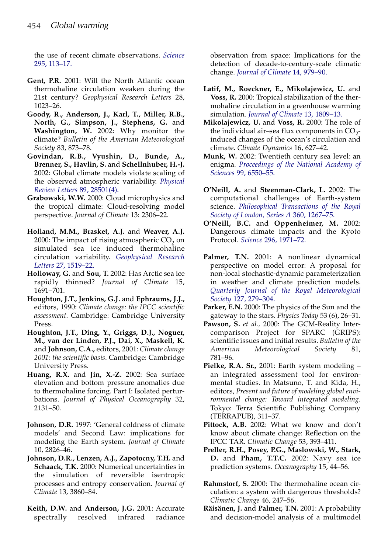the use of recent climate observations. *[Science](http://ninetta.ingentaselect.com/nw=1/rpsv/cgi-bin/linker?ext=a&reqidx=/0036-8075^28^29295L.113[aid=5150835])* [295, 113–17.](http://ninetta.ingentaselect.com/nw=1/rpsv/cgi-bin/linker?ext=a&reqidx=/0036-8075^28^29295L.113[aid=5150835])

- **Gent, P.R.** 2001: Will the North Atlantic ocean thermohaline circulation weaken during the 21st century? *Geophysical Research Letters* 28, 1023–26.
- **Goody, R., Anderson, J., Karl, T., Miller, R.B., North, G., Simpson, J., Stephens, G.** and **Washington, W.** 2002: Why monitor the climate? *Bulletin of the American Meteorological Society* 83, 873–78.
- **Govindan, R.B., Vyushin, D., Bunde, A., Brenner, S., Havlin, S.** and **Schellnhuber, H.-J.** 2002: Global climate models violate scaling of the observed atmospheric variability. *[Physical](http://ninetta.ingentaselect.com/nw=1/rpsv/cgi-bin/linker?ext=a&reqidx=/0031-9007^28^2989L.28501[aid=5150838]) [Review Letters](http://ninetta.ingentaselect.com/nw=1/rpsv/cgi-bin/linker?ext=a&reqidx=/0031-9007^28^2989L.28501[aid=5150838])* 89, 28501(4).
- **Grabowski, W.W.** 2000: Cloud microphysics and the tropical climate: Cloud-resolving model perspective. *Journal of Climate* 13: 2306–22.
- **Holland, M.M., Brasket, A.J.** and **Weaver, A.J.** 2000: The impact of rising atmospheric  $CO<sub>2</sub>$  on simulated sea ice induced thermohaline circulation variability. *[Geophysical Research](http://ninetta.ingentaselect.com/nw=1/rpsv/cgi-bin/linker?ext=a&reqidx=/0094-8276^28^2927L.1519[aid=5150839]) Letters* [27, 1519–22.](http://ninetta.ingentaselect.com/nw=1/rpsv/cgi-bin/linker?ext=a&reqidx=/0094-8276^28^2927L.1519[aid=5150839])
- **Holloway, G.** and **Sou, T.** 2002: Has Arctic sea ice rapidly thinned? *Journal of Climate* 15, 1691–701.
- **Houghton, J.T., Jenkins, G.J.** and **Ephraums, J.J.,** editors, 1990: *Climate change: the IPCC scientific assessment*. Cambridge: Cambridge University Press.
- **Houghton, J.T., Ding, Y., Griggs, D.J., Noguer, M., van der Linden, P.J., Dai, X., Maskell, K.** and **Johnson, C.A.,** editors, 2001: *Climate change 2001: the scientific basis*. Cambridge: Cambridge University Press.
- **Huang, R.X.** and **Jin, X.-Z.** 2002: Sea surface elevation and bottom pressure anomalies due to thermohaline forcing. Part I: Isolated perturbations. *Journal of Physical Oceanography* 32, 2131–50.
- **Johnson, D.R.** 1997: 'General coldness of climate models' and Second Law: implications for modeling the Earth system. *Journal of Climate* 10, 2826–46.
- **Johnson, D.R., Lenzen, A.J., Zapotocny, T.H.** and **Schaack, T.K.** 2000: Numerical uncertainties in the simulation of reversible isentropic processes and entropy conservation. *Journal of Climate* 13, 3860–84.
- **Keith, D.W.** and **Anderson, J.G.** 2001: Accurate spectrally resolved infrared radiance

observation from space: Implications for the detection of decade-to-century-scale climatic change. *[Journal of Climate](http://ninetta.ingentaselect.com/nw=1/rpsv/cgi-bin/linker?ext=a&reqidx=/0894-8755^28^2914L.979[aid=4864869])* 14, 979–90.

- **Latif, M., Roeckner, E., Mikolajewicz, U.** and **Voss, R.** 2000: Tropical stabilization of the thermohaline circulation in a greenhouse warming simulation. *[Journal of Climate](http://ninetta.ingentaselect.com/nw=1/rpsv/cgi-bin/linker?ext=a&reqidx=/0894-8755^28^2913L.1809[aid=3399142])* 13, 1809–13.
- **Mikolajewicz, U.** and **Voss, R.** 2000: The role of the individual air-sea flux components in  $CO_2$ induced changes of the ocean's circulation and climate. *Climate Dynamics* 16, 627–42.
- **Munk, W.** 2002: Twentieth century sea level: an enigma. *[Proceedings of the National Academy of](http://ninetta.ingentaselect.com/nw=1/rpsv/cgi-bin/linker?ext=a&reqidx=/0027-8424^28^2999L.6550[aid=5150845]) Sciences* [99, 6550–55.](http://ninetta.ingentaselect.com/nw=1/rpsv/cgi-bin/linker?ext=a&reqidx=/0027-8424^28^2999L.6550[aid=5150845])
- **O'Neill, A.** and **Steenman-Clark, L.** 2002: The computational challenges of Earth-system science. *[Philosophical Transactions of the Royal](http://ninetta.ingentaselect.com/nw=1/rpsv/cgi-bin/linker?ext=a&reqidx=/1364-503X^28^29360L.1267[aid=2456540]) [Society of London, Series A](http://ninetta.ingentaselect.com/nw=1/rpsv/cgi-bin/linker?ext=a&reqidx=/1364-503X^28^29360L.1267[aid=2456540])* 360, 1267–75.
- **O'Neill, B.C.** and **Oppenheimer, M.** 2002: Dangerous climate impacts and the Kyoto Protocol. *Science* [296, 1971–72.](http://ninetta.ingentaselect.com/nw=1/rpsv/cgi-bin/linker?ext=a&reqidx=/0036-8075^28^29296L.1971[aid=5150846])
- **Palmer, T.N.** 2001: A nonlinear dynamical perspective on model error: A proposal for non-local stochastic-dynamic parameterization in weather and climate prediction models. *[Quarterly Journal of the Royal Meteorological](http://ninetta.ingentaselect.com/nw=1/rpsv/cgi-bin/linker?ext=a&reqidx=/0035-9009^28^29127L.279[aid=2645121]) Society* [127, 279–304.](http://ninetta.ingentaselect.com/nw=1/rpsv/cgi-bin/linker?ext=a&reqidx=/0035-9009^28^29127L.279[aid=2645121])
- **Parker, E.N.** 2000: The physics of the Sun and the gateway to the stars. *Physics Today* 53 (6), 26–31.
- **Pawson, S.** *et al.,* 2000: The GCM-Reality Intercomparison Project for SPARC (GRIPS): scientific issues and initial results. *Bulletin of the American Meteorological Society* 81, 781–96.
- **Pielke, R.A. Sr.,** 2001: Earth system modeling an integrated assessment tool for environmental studies. In Matsuno, T. and Kida, H., editors, *Present and future of modeling global environmental change: Toward integrated modeling*. Tokyo: Terra Scientific Publishing Company (TERRAPUB), 311–37.
- **Pittock, A.B.** 2002: What we know and don't know about climate change: Reflection on the IPCC TAR. *Climatic Change* 53, 393–411.
- **Preller, R.H., Posey, P.G., Maslowski, W., Stark, D.** and **Pham, T.T.C.** 2002: Navy sea ice prediction systems. *Oceanography* 15, 44–56.
- **Rahmstorf, S.** 2000: The thermohaline ocean circulation: a system with dangerous thresholds? *Climatic Change* 46, 247–56.
- **Räisänen, J.** and **Palmer, T.N.** 2001: A probability and decision-model analysis of a multimodel